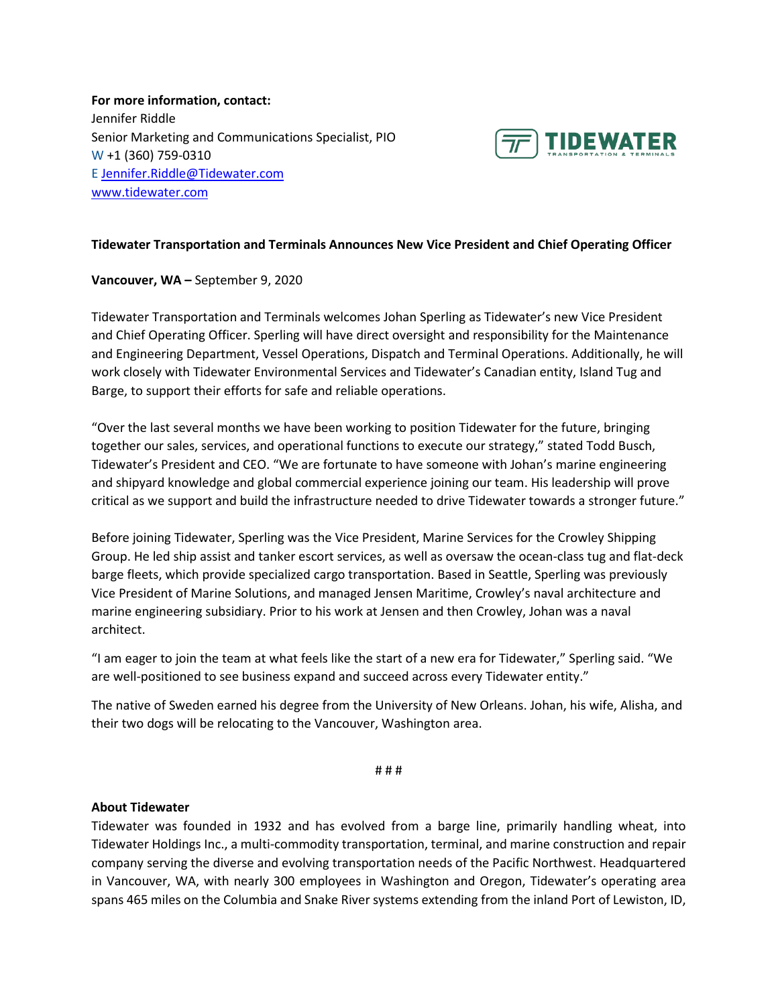**For more information, contact:** Jennifer Riddle Senior Marketing and Communications Specialist, PIO W +1 (360) 759-0310 E [Jennifer.Riddle@Tidewater.com](mailto:Jennifer.Riddle@Tidewater.com) [www.tidewater.com](http://www.tidewater.com/)



## **Tidewater Transportation and Terminals Announces New Vice President and Chief Operating Officer**

## **Vancouver, WA –** September 9, 2020

Tidewater Transportation and Terminals welcomes Johan Sperling as Tidewater's new Vice President and Chief Operating Officer. Sperling will have direct oversight and responsibility for the Maintenance and Engineering Department, Vessel Operations, Dispatch and Terminal Operations. Additionally, he will work closely with Tidewater Environmental Services and Tidewater's Canadian entity, Island Tug and Barge, to support their efforts for safe and reliable operations.

"Over the last several months we have been working to position Tidewater for the future, bringing together our sales, services, and operational functions to execute our strategy," stated Todd Busch, Tidewater's President and CEO. "We are fortunate to have someone with Johan's marine engineering and shipyard knowledge and global commercial experience joining our team. His leadership will prove critical as we support and build the infrastructure needed to drive Tidewater towards a stronger future."

Before joining Tidewater, Sperling was the Vice President, Marine Services for the Crowley Shipping Group. He led ship assist and tanker escort services, as well as oversaw the ocean-class tug and flat-deck barge fleets, which provide specialized cargo transportation. Based in Seattle, Sperling was previously Vice President of Marine Solutions, and managed Jensen Maritime, Crowley's naval architecture and marine engineering subsidiary. Prior to his work at Jensen and then Crowley, Johan was a naval architect.

"I am eager to join the team at what feels like the start of a new era for Tidewater," Sperling said. "We are well-positioned to see business expand and succeed across every Tidewater entity."

The native of Sweden earned his degree from the University of New Orleans. Johan, his wife, Alisha, and their two dogs will be relocating to the Vancouver, Washington area.

# # #

## **About Tidewater**

Tidewater was founded in 1932 and has evolved from a barge line, primarily handling wheat, into Tidewater Holdings Inc., a multi-commodity transportation, terminal, and marine construction and repair company serving the diverse and evolving transportation needs of the Pacific Northwest. Headquartered in Vancouver, WA, with nearly 300 employees in Washington and Oregon, Tidewater's operating area spans 465 miles on the Columbia and Snake River systems extending from the inland Port of Lewiston, ID,